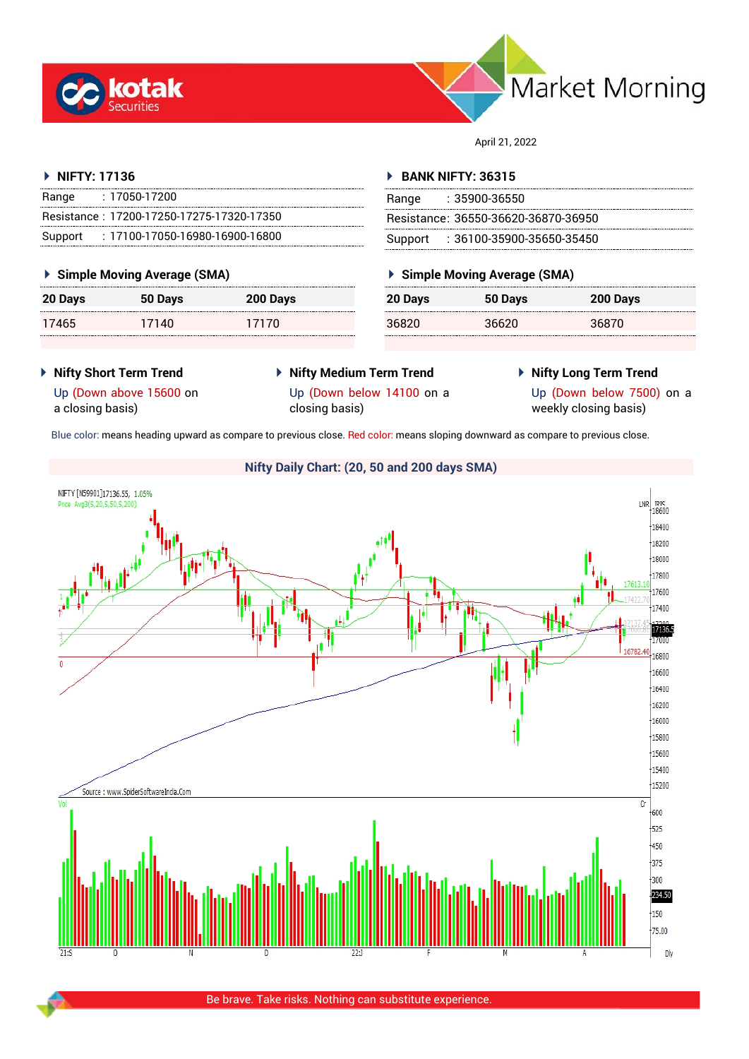



April 21, 2022

## **NIFTY: 17136**

| Range | : 17050-17200                             |
|-------|-------------------------------------------|
|       | Resistance: 17200-17250-17275-17320-17350 |
|       | Support: : 17100-17050-16980-16900-16800  |

## **Simple Moving Average (SMA)**

| 20 Days | 50 Days | 200 Days |
|---------|---------|----------|
| 17465   | 17140   | 17170    |

## **BANK NIFTY: 36315**

| Range | : 35900-36550                       |
|-------|-------------------------------------|
|       | Resistance: 36550-36620-36870-36950 |
|       | Support: 36100-35900-35650-35450    |

## **Simple Moving Average (SMA)**

| 20 Days | 50 Days | 200 Days |
|---------|---------|----------|
| 36820   | 36620   | 36870    |

- **Nifty Short Term Trend**
- **Nifty Medium Term Trend**
- **Nifty Long Term Trend**

Up (Down above 15600 on a closing basis)

Up (Down below 14100 on a

closing basis)

Up (Down below 7500) on a weekly closing basis)

Blue color: means heading upward as compare to previous close. Red color: means sloping downward as compare to previous close.

## **Nifty Daily Chart: (20, 50 and 200 days SMA)**NIFTY [N59901]17136.55, 1.05%  $LNR$ <sub>18600</sub> Price Avg3(S.20.S.50.S.200)  $\frac{1}{18400}$  $\frac{1}{18200}$ للسال 18000 17800 17600 17400 1713)<br>1713) 16800 16600  $16400$ 16200 16000  $\frac{1}{15800}$  $15600$  $15400$  $15200$ Source: www.SpiderSoftwareIndia.Com  $\overline{C}$  $600$  $+525$  $450$  $\frac{1}{375}$  $\frac{1}{300}$ 234.50  $\frac{1}{150}$  $75.00$ Dly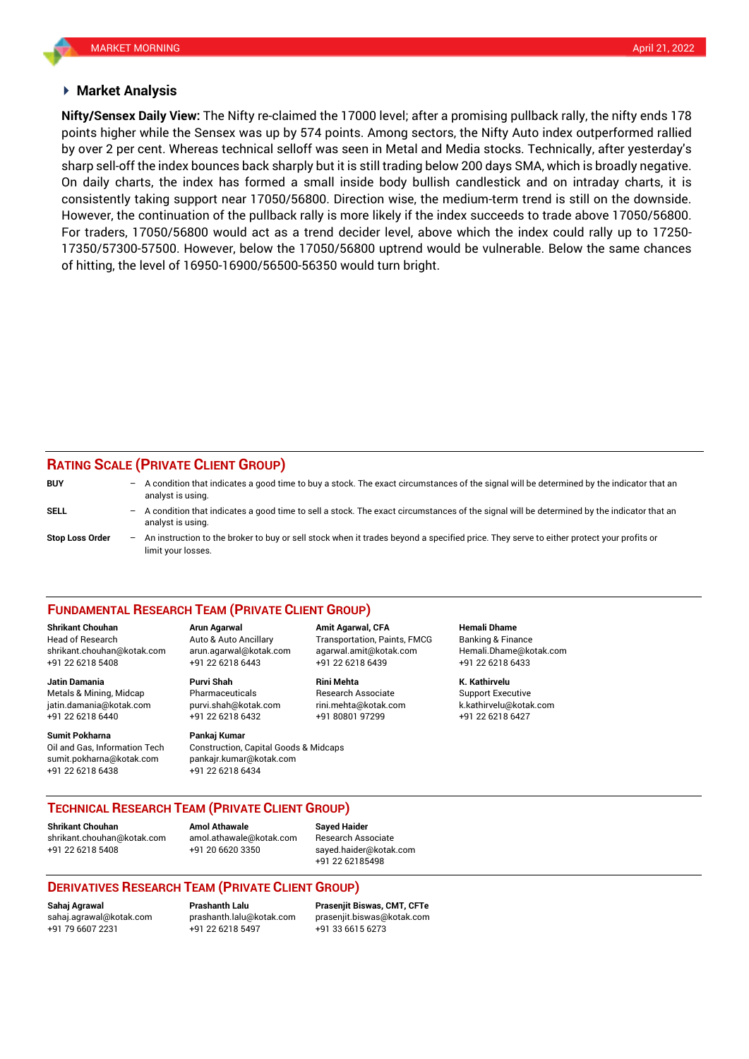### **Market Analysis**

points higher while the Sensex was up by 574 points. Among sectors, the Nifty Auto index outperformed rallied **Nifty/Sensex Daily View:** The Nifty re-claimed the 17000 level; after a promising pullback rally, the nifty ends 178 by over 2 per cent. Whereas technical selloff was seen in Metal and Media stocks. Technically, after yesterday's sharp sell-off the index bounces back sharply but it is still trading below 200 days SMA, which is broadly negative. On daily charts, the index has formed a small inside body bullish candlestick and on intraday charts, it is consistently taking support near 17050/56800. Direction wise, the medium-term trend is still on the downside. However, the continuation of the pullback rally is more likely if the index succeeds to trade above 17050/56800. For traders, 17050/56800 would act as a trend decider level, above which the index could rally up to 17250- 17350/57300-57500. However, below the 17050/56800 uptrend would be vulnerable. Below the same chances of hitting, the level of 16950-16900/56500-56350 would turn bright.

## **RATING SCALE (PRIVATE CLIENT GROUP)**

| <b>BUY</b>             | $\overline{\phantom{0}}$ | A condition that indicates a good time to buy a stock. The exact circumstances of the signal will be determined by the indicator that an<br>analyst is using.  |
|------------------------|--------------------------|----------------------------------------------------------------------------------------------------------------------------------------------------------------|
| SELL                   | $\qquad \qquad -$        | A condition that indicates a good time to sell a stock. The exact circumstances of the signal will be determined by the indicator that an<br>analyst is using. |
| <b>Stop Loss Order</b> | $\overline{\phantom{0}}$ | An instruction to the broker to buy or sell stock when it trades beyond a specified price. They serve to either protect your profits or<br>limit your losses.  |

#### **FUNDAMENTAL RESEARCH TEAM (PRIVATE CLIENT GROUP)**

Head of Research Auto & Auto Ancillary Transportation, Paints, FMCG Banking & Finance [shrikant.chouhan@kotak.com](mailto:shrikant.chouhan@kotak.com) arun.agarwal@kotak.com agarwal.amit@kotak.com Hemali.Dhame@kotak.com

**Jatin Damania Purvi Shah Rini Mehta K. Kathirvelu** Metals & Mining, Midcap Pharmaceuticals Research Associate Support Executive jatin.damania@kotak.com [purvi.shah@kotak.com](mailto:purvi.shah@kotak.com) rini.mehta@kotak.com [k.kathirvelu@kotak.com](mailto:k.kathirvelu@kotak.com) +91 22 6218 6440 +91 22 6218 6432 +91 80801 97299 +91 22 6218 6427

Oil and Gas, Information Tech Construction, Capital Goods & Midcaps sumit.pokharna@kotak.com pankajr.kumar@kotak.com

+91 22 6218 5408 +91 22 6218 6443 +91 22 6218 6439 +91 22 6218 6433

# **Sumit Pokharna** Pankaj Kumar

+91 22 6218 6438 +91 22 6218 6434

**Shrikant Chouhan Arun Agarwal Amit Agarwal, CFA Hemali Dhame**

## **TECHNICAL RESEARCH TEAM (PRIVATE CLIENT GROUP)**

**Shrikant Chouhan Amol Athawale Sayed Haider**

[shrikant.chouhan@kotak.com](mailto:shrikant.chouhan@kotak.com) [amol.athawale@kotak.com](mailto:amol.athawale@kotak.com) Research Associate +91 22 6218 5408 +91 20 6620 3350 [sayed.haider@kotak.com](mailto:sayed.haider@kotak.com)

+91 22 62185498

## **DERIVATIVES RESEARCH TEAM (PRIVATE CLIENT GROUP)**

+91 22 6218 5497 +91 33 6615 6273

**Sahaj Agrawal Prashanth Lalu Prasenjit Biswas, CMT, CFTe** [sahaj.agrawal@kotak.com](mailto:sahaj.agrawal@kotak.com) [prashanth.lalu@kotak.com](mailto:prashanth.lalu@kotak.com) [prasenjit.biswas@kotak.com](mailto:prasenjit.biswas@kotak.com)